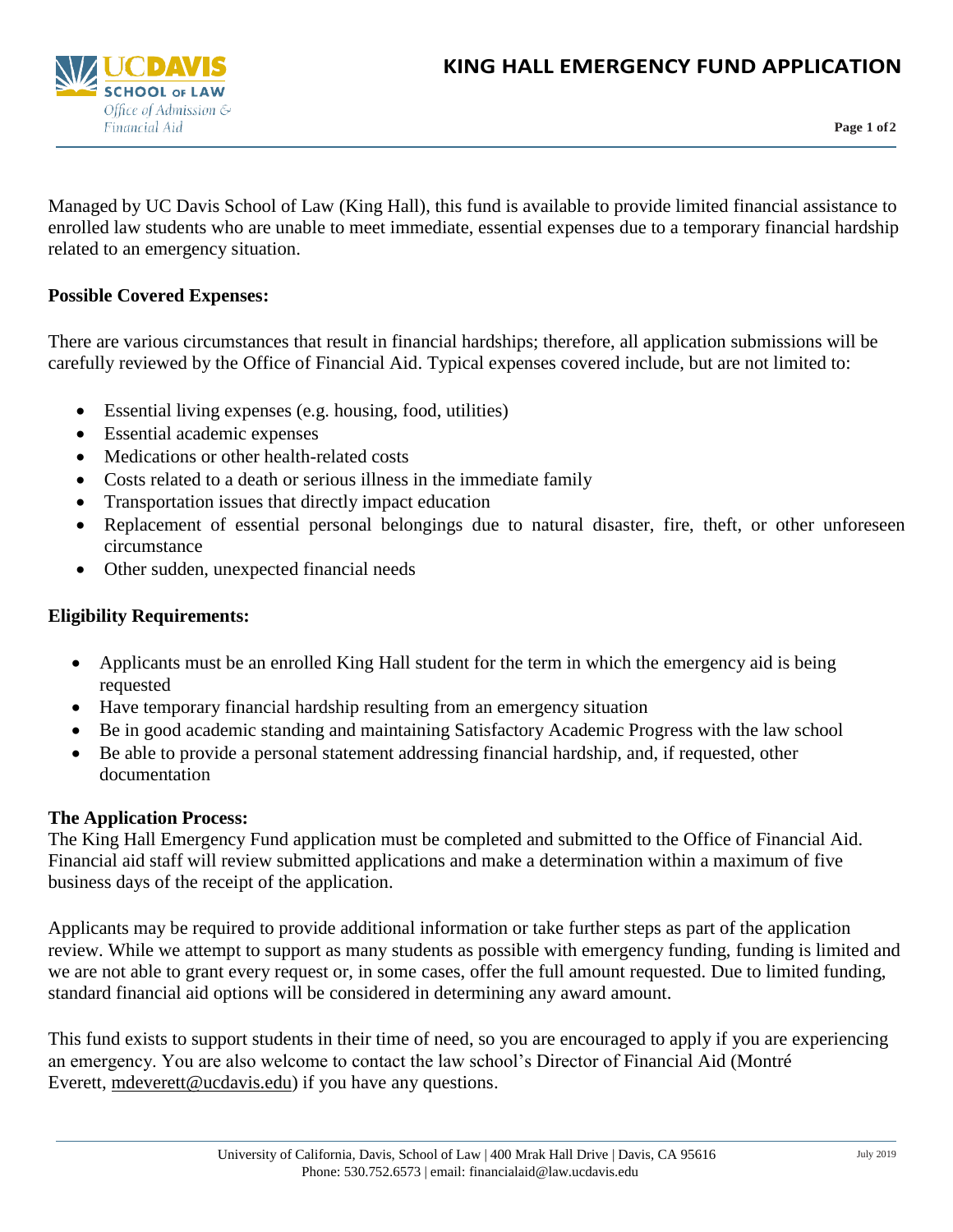

**Page 1 of2**

Managed by UC Davis School of Law (King Hall), this fund is available to provide limited financial assistance to enrolled law students who are unable to meet immediate, essential expenses due to a temporary financial hardship related to an emergency situation.

### **Possible Covered Expenses:**

There are various circumstances that result in financial hardships; therefore, all application submissions will be carefully reviewed by the Office of Financial Aid. Typical expenses covered include, but are not limited to:

- Essential living expenses (e.g. housing, food, utilities)
- Essential academic expenses
- Medications or other health-related costs
- Costs related to a death or serious illness in the immediate family
- Transportation issues that directly impact education
- Replacement of essential personal belongings due to natural disaster, fire, theft, or other unforeseen circumstance
- Other sudden, unexpected financial needs

## **Eligibility Requirements:**

- Applicants must be an enrolled King Hall student for the term in which the emergency aid is being requested
- Have temporary financial hardship resulting from an emergency situation
- Be in good academic standing and maintaining Satisfactory Academic Progress with the law school
- Be able to provide a personal statement addressing financial hardship, and, if requested, other documentation

### **The Application Process:**

The King Hall Emergency Fund application must be completed and submitted to the Office of Financial Aid. Financial aid staff will review submitted applications and make a determination within a maximum of five business days of the receipt of the application.

Applicants may be required to provide additional information or take further steps as part of the application review. While we attempt to support as many students as possible with emergency funding, funding is limited and we are not able to grant every request or, in some cases, offer the full amount requested. Due to limited funding, standard financial aid options will be considered in determining any award amount.

This fund exists to support students in their time of need, so you are encouraged to apply if you are experiencing an emergency. You are also welcome to contact the law school's Director of Financial Aid (Montré Everett, [mdeverett@ucdavis.edu\)](mailto:mdeverett@ucdavis.edu) if you have any questions.